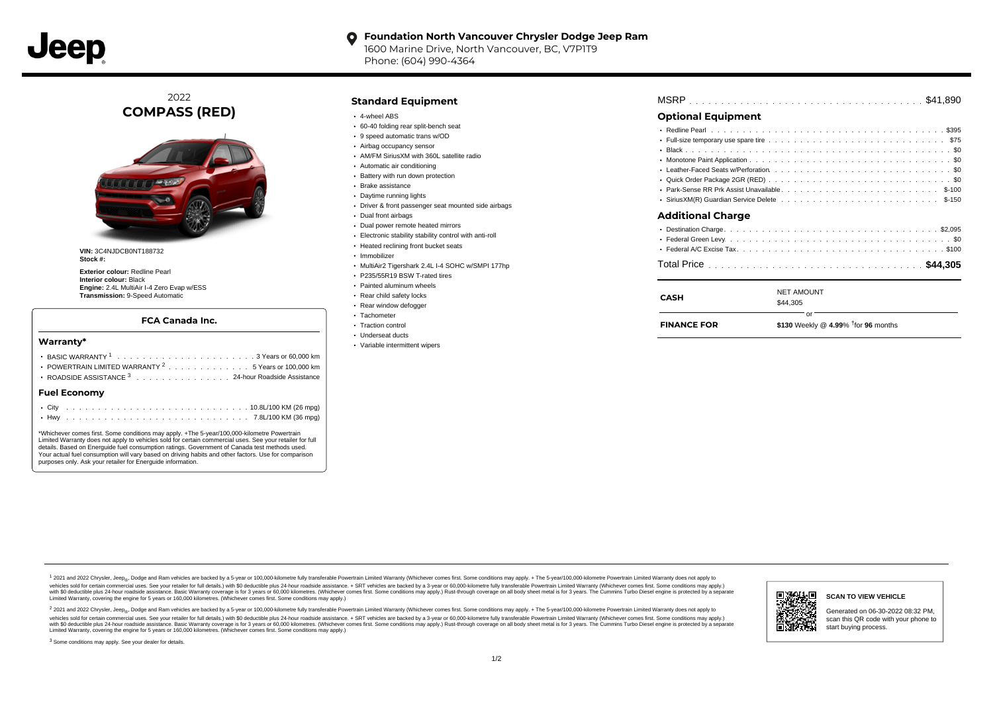

#### **Foundation North Vancouver Chrysler Dodge Jeep Ram**  $\bullet$

1600 Marine Drive, North Vancouver, BC, V7P1T9 Phone: (604) 990-4364

2022 **COMPASS (RED)**



**VIN:** 3C4NJDCB0NT188732 **Stock #:**

**Exterior colour:** Redline Pearl **Interior colour:** Black **Engine:** 2.4L MultiAir I-4 Zero Evap w/ESS **Transmission:** 9-Speed Automatic

### **FCA Canada Inc.**

#### **Warranty\***

| POWERTRAIN LIMITED WARRANTY <sup>2</sup> 5 Years or 100,000 km |
|----------------------------------------------------------------|
| ROADSIDE ASSISTANCE <sup>3</sup> 24-hour Roadside Assistance   |
| <b>Fuel Economy</b>                                            |
|                                                                |

\*Whichever comes first. Some conditions may apply. +The 5-year/100,000-kilometre Powertrain Limited Warranty does not apply to vehicles sold for certain commercial uses. See your retailer for full details. Based on Energuide fuel consumption ratings. Government of Canada test methods used. Your actual fuel consumption will vary based on driving habits and other factors. Use for comparison purposes only. Ask your retailer for Energuide information.

. . . . . . . . . . . . . . . . . . . . . . . . . . . . . . . . . . . . . . . . . . . Hwy 7.8L/100 KM (36 mpg)

## **Standard Equipment**

- 4-wheel ABS
- 60-40 folding rear split-bench seat
- 9 speed automatic trans w/OD
- Airbag occupancy sensor
- AM/FM SiriusXM with 360L satellite radio
- Automatic air conditioning
- Battery with run down protection
- Brake assistance
- Daytime running lights
- Driver & front passenger seat mounted side airbags
- Dual front airbags
- Dual power remote heated mirrors
- Electronic stability stability control with anti-roll
- Heated reclining front bucket seats
- · Immobilizer
- MultiAir2 Tigershark 2.4L I-4 SOHC w/SMPI 177hp
- P235/55R19 BSW T-rated tires
- Painted aluminum wheels
- Rear child safety locks
- Rear window defogger
- Tachometer
- Traction control
- Underseat ducts
- Variable intermittent wipers

| <b>Optional Equipment</b> |  |  |  |  |  |  |  |  |  |  |  |  |  |  |
|---------------------------|--|--|--|--|--|--|--|--|--|--|--|--|--|--|
|                           |  |  |  |  |  |  |  |  |  |  |  |  |  |  |
|                           |  |  |  |  |  |  |  |  |  |  |  |  |  |  |
|                           |  |  |  |  |  |  |  |  |  |  |  |  |  |  |
|                           |  |  |  |  |  |  |  |  |  |  |  |  |  |  |

- Leather-Faced Seats w/Perforation  $\ldots \ldots \ldots \ldots \ldots \ldots \ldots \ldots \ldots \ldots \ldots \ldots \ldots \$ Quick Order Package 2GR (RED) ............................... . . . . . . . . . . . . . . . . . . . . . . . . . . . . . . . . . . . . . . . . . . . . . . Park-Sense RR Prk Assist Unavailable \$-100
- . . . . . . . . . . . . . . . . . . . . . . . . . . . . . . . . . . . . . . . . . . . . . . SiriusXM(R) Guardian Service Delete \$-150

#### **Additional Charge**

| <b>NET AMOUNT</b><br>CASH<br>\$44,305 | <b>FINANCE FOR</b> | \$130 Weekly @ 4.99% $\frac{1}{1}$ for 96 months |  |
|---------------------------------------|--------------------|--------------------------------------------------|--|
|                                       |                    |                                                  |  |

1 2021 and 2022 Chrysler, Jeep<sub>en</sub> Dodge and Ram vehicles are backed by a 5-year or 100,000-kilometre fully transferable Powertrain Limited Warranty (Whichever comes first. Some conditions may apply. + The 5-year/100,000-k rebicles sold for certain commercial uses. See your retailer for full details) with S0 deductible plus 24-hour madside assistance. + SRT vehicles are backed by a 3-year or 60.000-kilometre fully transferable Powertrain Lim ventals and contract when the contract when the contract you contract when the contract when the control of the set of a set of a set of a set of 3 years of 60,000 kilometres. Whichever comes first. Some conditions may app Limited Warranty, covering the engine for 5 years or 160,000 kilometres. (Whichever comes first. Some conditions may apply.)

2 2021 and 2022 Chrysler, Jeep<sub>es</sub> Dodge and Ram vehicles are backed by a 5-year or 100,000-kilometre fully transferable Powertrain Limited Warranty (Whichever comes first. Some conditions may apply. + The 5-year/100,000-k vehicles sold for certain commercial uses. See your retailer for full details.) with SO deductible plus 24-hour roadside assistance. + SRT vehicles are backed by a 3-year or 60.000-kilometre fully transferable Powertrain L with S0 deductible plus 24-hour roadside assistance. Basic Warranty coverage is for 3 years or 60,000 kilometres. (Whichever comes first. Some conditions may apply.) Rust-through coverage on all body sheet metal is for 3 y



**SCAN TO VIEW VEHICLE**

Generated on 06-30-2022 08:32 PM, scan this QR code with your phone to start buying process.

<sup>3</sup> Some conditions may apply. See your dealer for details.